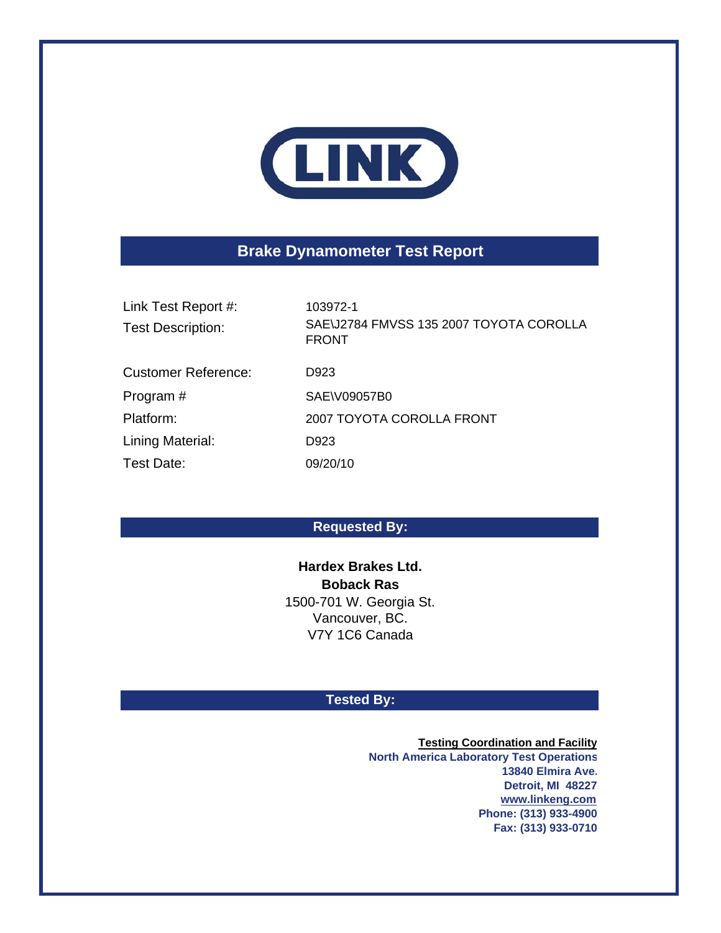

# **Brake Dynamometer Test Report**

Link Test Report #: 103972-1 Test Description:

SAE\J2784 FMVSS 135 2007 TOYOTA COROLLA FRONT

Customer Reference: D923 Program # SAE\V09057B0 Platform: Lining Material: D923 Test Date: 09/20/10

2007 TOYOTA COROLLA FRONT

## **Requested By:**

**Boback Ras** 1500-701 W. Georgia St. Vancouver, BC. V7Y 1C6 Canada **Hardex Brakes Ltd.**

### **Tested By:**

**Testing Coordination and Facility North America Laboratory Test Operations 13840 Elmira Ave. Detroit, MI 48227 www.linkeng.com Phone: (313) 933-4900 Fax: (313) 933-0710**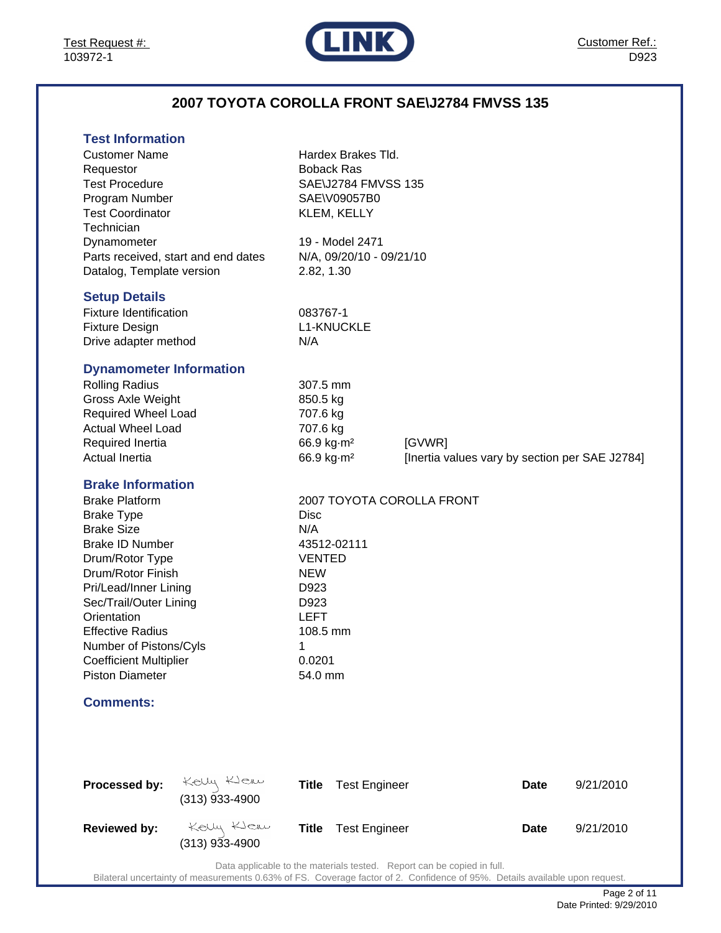

## **2007 TOYOTA COROLLA FRONT SAE\J2784 FMVSS 135**

| <b>Test Information</b> |  |
|-------------------------|--|
|                         |  |

| ו סאו וווטוווומנוטוו<br><b>Customer Name</b><br>Requestor<br><b>Test Procedure</b><br>Program Number<br><b>Test Coordinator</b><br>Technician<br>Dynamometer<br>Datalog, Template version<br><b>Setup Details</b><br><b>Fixture Identification</b><br><b>Fixture Design</b>                                                                     | Parts received, start and end dates | 2.82, 1.30<br>083767-1                                                                                                 | Hardex Brakes Tld.<br><b>Boback Ras</b><br>SAE\J2784 FMVSS 135<br>SAE\V09057B0<br>KLEM, KELLY<br>19 - Model 2471<br>N/A, 09/20/10 - 09/21/10<br><b>L1-KNUCKLE</b> |                                                          |             |           |
|-------------------------------------------------------------------------------------------------------------------------------------------------------------------------------------------------------------------------------------------------------------------------------------------------------------------------------------------------|-------------------------------------|------------------------------------------------------------------------------------------------------------------------|-------------------------------------------------------------------------------------------------------------------------------------------------------------------|----------------------------------------------------------|-------------|-----------|
| Drive adapter method<br><b>Dynamometer Information</b><br><b>Rolling Radius</b><br>Gross Axle Weight<br>Required Wheel Load<br><b>Actual Wheel Load</b><br>Required Inertia<br><b>Actual Inertia</b>                                                                                                                                            |                                     | N/A<br>307.5 mm<br>850.5 kg<br>707.6 kg<br>707.6 kg<br>66.9 kg m <sup>2</sup><br>66.9 kg·m <sup>2</sup>                |                                                                                                                                                                   | [GVWR]<br>[Inertia values vary by section per SAE J2784] |             |           |
| <b>Brake Information</b><br><b>Brake Platform</b><br><b>Brake Type</b><br><b>Brake Size</b><br><b>Brake ID Number</b><br>Drum/Rotor Type<br>Drum/Rotor Finish<br>Pri/Lead/Inner Lining<br>Sec/Trail/Outer Lining<br>Orientation<br><b>Effective Radius</b><br>Number of Pistons/Cyls<br><b>Coefficient Multiplier</b><br><b>Piston Diameter</b> |                                     | <b>Disc</b><br>N/A<br><b>VENTED</b><br><b>NEW</b><br>D923<br>D923<br><b>LEFT</b><br>108.5 mm<br>1<br>0.0201<br>54.0 mm | 43512-02111                                                                                                                                                       | 2007 TOYOTA COROLLA FRONT                                |             |           |
| <b>Comments:</b>                                                                                                                                                                                                                                                                                                                                |                                     |                                                                                                                        |                                                                                                                                                                   |                                                          |             |           |
| Processed by:                                                                                                                                                                                                                                                                                                                                   | Kelly Klew<br>(313) 933-4900        | <b>Title</b>                                                                                                           | <b>Test Engineer</b>                                                                                                                                              |                                                          | <b>Date</b> | 9/21/2010 |
| <b>Reviewed by:</b>                                                                                                                                                                                                                                                                                                                             | Kelly Klew<br>$(313)$ 933-4900      | <b>Title</b>                                                                                                           | <b>Test Engineer</b>                                                                                                                                              |                                                          | Date        | 9/21/2010 |

Data applicable to the materials tested. Report can be copied in full.

Bilateral uncertainty of measurements 0.63% of FS. Coverage factor of 2. Confidence of 95%. Details available upon request.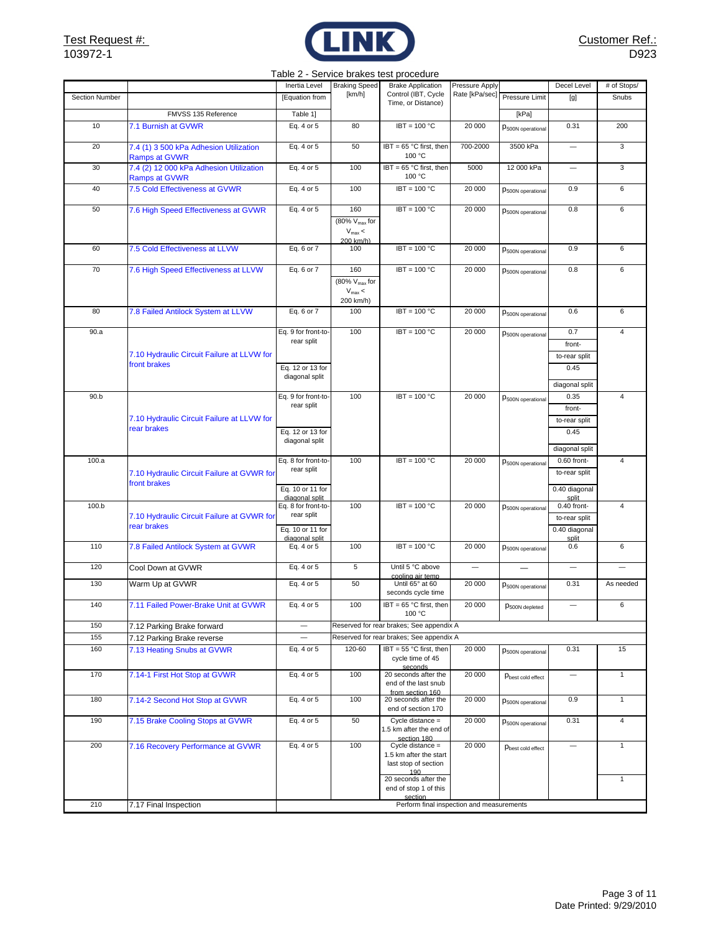

#### Table 2 - Service brakes test procedure

|                |                                                                 | Inertia Level                      | <b>Braking Speed</b>                     | <b>Brake Application</b>                               | Pressure Apply |                               | Decel Level                    | # of Stops/             |
|----------------|-----------------------------------------------------------------|------------------------------------|------------------------------------------|--------------------------------------------------------|----------------|-------------------------------|--------------------------------|-------------------------|
| Section Number |                                                                 | [Equation from                     | [km/h]                                   | Control (IBT, Cycle<br>Time, or Distance)              |                | Rate [kPa/sec] Pressure Limit | [g]                            | Snubs                   |
|                | FMVSS 135 Reference                                             | Table 1]                           |                                          |                                                        |                | [kPa]                         |                                |                         |
| 10             | 7.1 Burnish at GVWR                                             | Eq. 4 or 5                         | 80                                       | $IBT = 100 °C$                                         | 20 000         | P <sub>500N</sub> operational | 0.31                           | 200                     |
|                |                                                                 |                                    |                                          |                                                        |                |                               |                                |                         |
| 20             | 7.4 (1) 3 500 kPa Adhesion Utilization                          | Eq. 4 or 5                         | 50                                       | IBT = 65 °C first, then<br>100 °C                      | 700-2000       | 3500 kPa                      | $\overline{\phantom{0}}$       | 3                       |
| 30             | <b>Ramps at GVWR</b><br>7.4 (2) 12 000 kPa Adhesion Utilization | Eq. 4 or 5                         | 100                                      | IBT = 65 °C first, then                                | 5000           | 12 000 kPa                    | $\overline{\phantom{0}}$       | $\mathbf 3$             |
|                | Ramps at GVWR                                                   |                                    |                                          | 100 °C                                                 |                |                               |                                |                         |
| 40             | 7.5 Cold Effectiveness at GVWR                                  | Eq. 4 or 5                         | 100                                      | $IBT = 100 °C$                                         | 20 000         | P <sub>500N</sub> operational | 0.9                            | 6                       |
| 50             |                                                                 |                                    | 160                                      | $IBT = 100 °C$                                         | 20 000         |                               | 0.8                            | 6                       |
|                | 7.6 High Speed Effectiveness at GVWR                            | Eq. 4 or 5                         | (80% V <sub>max</sub> for                |                                                        |                | P <sub>500N</sub> operational |                                |                         |
|                |                                                                 |                                    | $V_{\text{max}}$ <                       |                                                        |                |                               |                                |                         |
| 60             | 7.5 Cold Effectiveness at LLVW                                  | Eq. 6 or 7                         | 200 km/h)<br>100                         | $IBT = 100 °C$                                         | 20 000         |                               | 0.9                            | 6                       |
|                |                                                                 |                                    |                                          |                                                        |                | P <sub>500N</sub> operational |                                |                         |
| 70             | 7.6 High Speed Effectiveness at LLVW                            | Eq. 6 or 7                         | 160                                      | $IBT = 100 °C$                                         | 20 000         | P <sub>500N</sub> operational | 0.8                            | 6                       |
|                |                                                                 |                                    | $\sqrt{80\% \text{ V}_{\text{max}}}$ for |                                                        |                |                               |                                |                         |
|                |                                                                 |                                    | $V_{\text{max}}$ <<br>200 km/h)          |                                                        |                |                               |                                |                         |
| 80             | 7.8 Failed Antilock System at LLVW                              | Eq. 6 or 7                         | 100                                      | $IBT = 100 °C$                                         | 20 000         | P <sub>500N</sub> operational | 0.6                            | 6                       |
|                |                                                                 |                                    |                                          |                                                        |                |                               |                                |                         |
| 90.a           |                                                                 | Eq. 9 for front-to-                | 100                                      | $IBT = 100 °C$                                         | 20 000         | P <sub>500N</sub> operational | 0.7                            | $\overline{4}$          |
|                |                                                                 | rear split                         |                                          |                                                        |                |                               | front-                         |                         |
|                | 7.10 Hydraulic Circuit Failure at LLVW for<br>front brakes      |                                    |                                          |                                                        |                |                               | to-rear split                  |                         |
|                |                                                                 | Eq. 12 or 13 for<br>diagonal split |                                          |                                                        |                |                               | 0.45                           |                         |
|                |                                                                 |                                    |                                          |                                                        |                |                               | diagonal split                 |                         |
| 90.b           |                                                                 | Eq. 9 for front-to-                | 100                                      | $IBT = 100 °C$                                         | 20 000         | P500N operational             | 0.35                           | $\overline{\mathbf{4}}$ |
|                |                                                                 | rear split                         |                                          |                                                        |                |                               | front-                         |                         |
|                | 7.10 Hydraulic Circuit Failure at LLVW for<br>rear brakes       |                                    |                                          |                                                        |                |                               | to-rear split                  |                         |
|                |                                                                 | Eq. 12 or 13 for<br>diagonal split |                                          |                                                        |                |                               | 0.45                           |                         |
|                |                                                                 |                                    |                                          |                                                        |                |                               | diagonal split                 |                         |
| 100.a          |                                                                 | Eq. 8 for front-to-                | 100                                      | $IBT = 100 °C$                                         | 20 000         | P <sub>500N</sub> operational | 0.60 front-                    | $\overline{\mathbf{4}}$ |
|                | 7.10 Hydraulic Circuit Failure at GVWR for                      | rear split                         |                                          |                                                        |                |                               | to-rear split                  |                         |
|                | front brakes                                                    | Eq. 10 or 11 for                   |                                          |                                                        |                |                               | 0.40 diagonal                  |                         |
|                |                                                                 | diagonal split                     |                                          |                                                        |                |                               | split                          |                         |
| 100.b          | 7.10 Hydraulic Circuit Failure at GVWR for                      | Eq. 8 for front-to-<br>rear split  | 100                                      | $IBT = 100 °C$                                         | 20 000         | P <sub>500N</sub> operational | 0.40 front-                    | $\overline{\mathbf{4}}$ |
|                | rear brakes                                                     | Eq. 10 or 11 for                   |                                          |                                                        |                |                               | to-rear split<br>0.40 diagonal |                         |
|                |                                                                 | diagonal split                     |                                          |                                                        |                |                               | split                          |                         |
| 110            | 7.8 Failed Antilock System at GVWR                              | Eq. 4 or 5                         | 100                                      | $IBT = 100 °C$                                         | 20 000         | P500N operational             | 0.6                            | 6                       |
| 120            | Cool Down at GVWR                                               | Eq. 4 or 5                         | $\sqrt{5}$                               | Until 5 °C above                                       |                | $\qquad \qquad$               | $\overline{\phantom{0}}$       |                         |
|                |                                                                 |                                    |                                          | cooling air temp                                       |                |                               |                                |                         |
| 130            | Warm Up at GVWR                                                 | Eq. 4 or 5                         | 50                                       | Until 65° at 60<br>seconds cycle time                  | 20 000         | P500N operational             | 0.31                           | As needed               |
| 140            | 7.11 Failed Power-Brake Unit at GVWR                            | Eq. 4 or 5                         | 100                                      | IBT = 65 °C first, then                                | 20 000         | $p_{500N\,deepleted}$         |                                | 6                       |
|                |                                                                 |                                    |                                          | 100 °C                                                 |                |                               |                                |                         |
| 150            | 7.12 Parking Brake forward                                      | $\overline{\phantom{0}}$           |                                          | Reserved for rear brakes; See appendix A               |                |                               |                                |                         |
| 155            | 7.12 Parking Brake reverse                                      |                                    |                                          | Reserved for rear brakes; See appendix A               |                |                               |                                |                         |
| 160            | 7.13 Heating Snubs at GVWR                                      | Eq. 4 or 5                         | 120-60                                   | IBT = 55 °C first, then<br>cycle time of 45<br>seconds | 20 000         | P <sub>500N</sub> operational | 0.31                           | 15                      |
| 170            | 7.14-1 First Hot Stop at GVWR                                   | Eq. 4 or 5                         | 100                                      | 20 seconds after the                                   | 20 000         | Pbest cold effect             |                                | $\mathbf{1}$            |
|                |                                                                 |                                    |                                          | end of the last snub<br>from section 160               |                |                               |                                |                         |
| 180            | 7.14-2 Second Hot Stop at GVWR                                  | Eq. 4 or 5                         | 100                                      | 20 seconds after the                                   | 20 000         | P <sub>500N</sub> operational | 0.9                            | $\mathbf{1}$            |
|                |                                                                 |                                    |                                          | end of section 170                                     |                |                               |                                |                         |
| 190            | 7.15 Brake Cooling Stops at GVWR                                | Eq. 4 or 5                         | 50                                       | Cycle distance =<br>1.5 km after the end of            | 20 000         | P <sub>500N</sub> operational | 0.31                           | $\overline{4}$          |
|                |                                                                 |                                    |                                          | section 180                                            |                |                               |                                |                         |
| 200            | 7.16 Recovery Performance at GVWR                               | Eq. 4 or 5                         | 100                                      | $C$ ycle distance =<br>1.5 km after the start          | 20 000         | Pbest cold effect             |                                | $\mathbf{1}$            |
|                |                                                                 |                                    |                                          | last stop of section                                   |                |                               |                                |                         |
|                |                                                                 |                                    |                                          | 190<br>20 seconds after the                            |                |                               |                                | $\mathbf{1}$            |
|                |                                                                 |                                    |                                          | end of stop 1 of this                                  |                |                               |                                |                         |
| 210            | 7.17 Final Inspection                                           |                                    |                                          | section<br>Perform final inspection and measurements   |                |                               |                                |                         |
|                |                                                                 |                                    |                                          |                                                        |                |                               |                                |                         |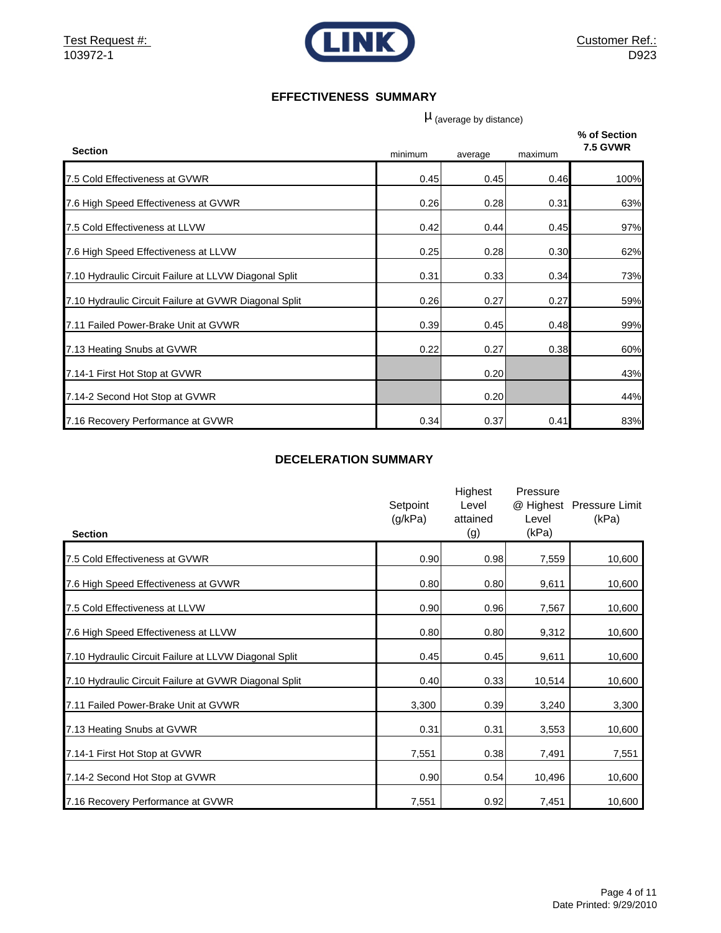

#### **EFFECTIVENESS SUMMARY**

 $\mu$  (average by distance)

| <b>Section</b>                                        | minimum | average | maximum | % of Section<br><b>7.5 GVWR</b> |
|-------------------------------------------------------|---------|---------|---------|---------------------------------|
| 7.5 Cold Effectiveness at GVWR                        | 0.45    | 0.45    | 0.46    | 100%                            |
| 7.6 High Speed Effectiveness at GVWR                  | 0.26    | 0.28    | 0.31    | 63%                             |
| 7.5 Cold Effectiveness at LLVW                        | 0.42    | 0.44    | 0.45    | 97%                             |
| 7.6 High Speed Effectiveness at LLVW                  | 0.25    | 0.28    | 0.30    | 62%                             |
| 7.10 Hydraulic Circuit Failure at LLVW Diagonal Split | 0.31    | 0.33    | 0.34    | 73%                             |
| 7.10 Hydraulic Circuit Failure at GVWR Diagonal Split | 0.26    | 0.27    | 0.27    | 59%                             |
| 7.11 Failed Power-Brake Unit at GVWR                  | 0.39    | 0.45    | 0.48    | 99%                             |
| 7.13 Heating Snubs at GVWR                            | 0.22    | 0.27    | 0.38    | 60%                             |
| 7.14-1 First Hot Stop at GVWR                         |         | 0.20    |         | 43%                             |
| 7.14-2 Second Hot Stop at GVWR                        |         | 0.20    |         | 44%                             |
| 7.16 Recovery Performance at GVWR                     | 0.34    | 0.37    | 0.41    | 83%                             |

#### **DECELERATION SUMMARY**

| <b>Section</b>                                        | Setpoint<br>(g/kPa) | Highest<br>Level<br>attained<br>(g) | Pressure<br>@ Highest<br>Level<br>(kPa) | <b>Pressure Limit</b><br>(kPa) |
|-------------------------------------------------------|---------------------|-------------------------------------|-----------------------------------------|--------------------------------|
| 7.5 Cold Effectiveness at GVWR                        | 0.90                | 0.98                                | 7,559                                   | 10,600                         |
| 7.6 High Speed Effectiveness at GVWR                  | 0.80                | 0.80                                | 9,611                                   | 10,600                         |
| 7.5 Cold Effectiveness at LLVW                        | 0.90                | 0.96                                | 7,567                                   | 10,600                         |
| 7.6 High Speed Effectiveness at LLVW                  | 0.80                | 0.80                                | 9,312                                   | 10,600                         |
| 7.10 Hydraulic Circuit Failure at LLVW Diagonal Split | 0.45                | 0.45                                | 9,611                                   | 10,600                         |
| 7.10 Hydraulic Circuit Failure at GVWR Diagonal Split | 0.40                | 0.33                                | 10,514                                  | 10,600                         |
| 7.11 Failed Power-Brake Unit at GVWR                  | 3,300               | 0.39                                | 3,240                                   | 3,300                          |
| 7.13 Heating Snubs at GVWR                            | 0.31                | 0.31                                | 3,553                                   | 10,600                         |
| 7.14-1 First Hot Stop at GVWR                         | 7,551               | 0.38                                | 7,491                                   | 7,551                          |
| 7.14-2 Second Hot Stop at GVWR                        | 0.90                | 0.54                                | 10,496                                  | 10,600                         |
| 7.16 Recovery Performance at GVWR                     | 7,551               | 0.92                                | 7,451                                   | 10,600                         |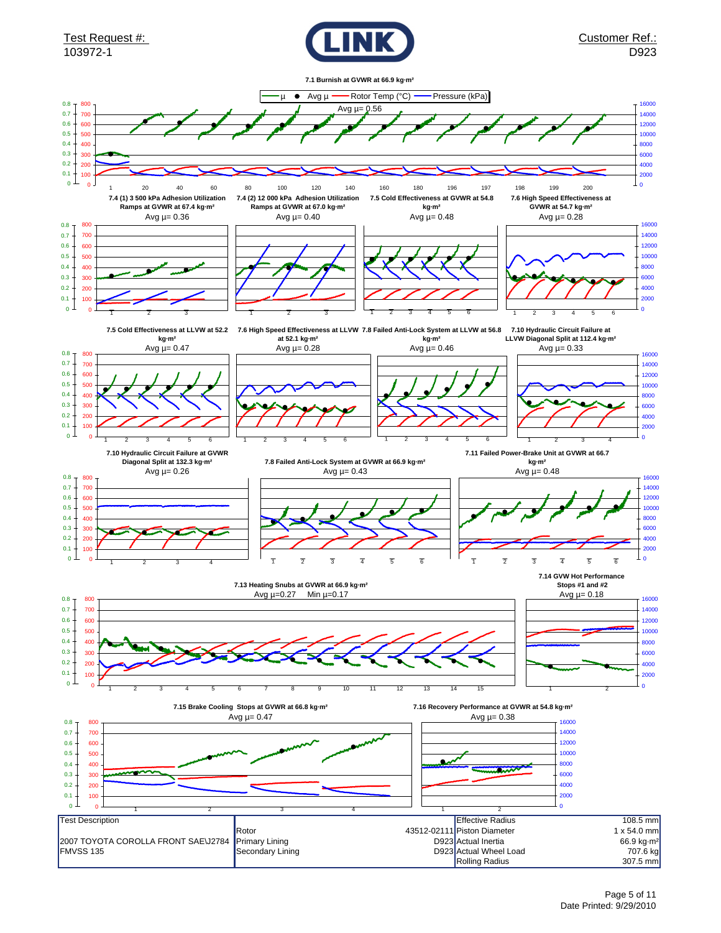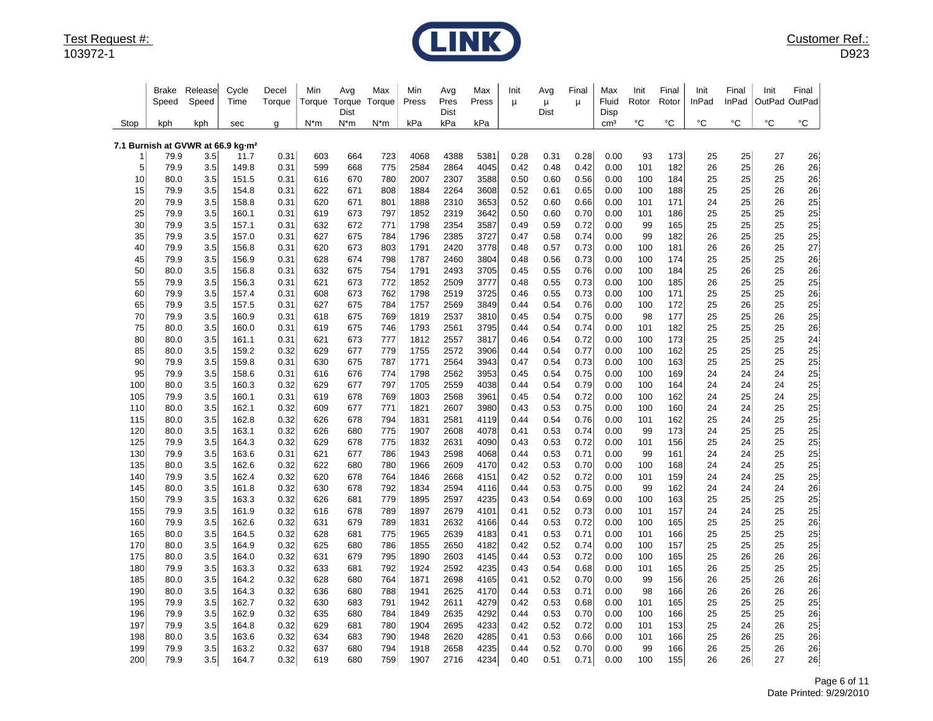

|            | Brake<br>Speed                                        | Release<br>Speed | Cycle<br>Time  | Decel<br>Torque | Min<br>Torque | Avg<br>Torque<br>Dist | Max<br>Torque | Min<br>Press | Avg<br>Pres<br>Dist | Max<br>Press | Init<br>μ    | Avg<br>μ<br>Dist | Final<br>μ   | Max<br>Fluid<br>Disp | Init<br>Rotor | Final<br>Rotor | Init<br>InPad | Final<br>InPad | Init<br>OutPad OutPad | Final    |
|------------|-------------------------------------------------------|------------------|----------------|-----------------|---------------|-----------------------|---------------|--------------|---------------------|--------------|--------------|------------------|--------------|----------------------|---------------|----------------|---------------|----------------|-----------------------|----------|
| Stop       | kph                                                   | kph              | sec            | g               | $N^*m$        | $N^*m$                | N*m           | kPa          | kPa                 | kPa          |              |                  |              | cm <sup>3</sup>      | °C            | °C             | °C            | $^{\circ}C$    | $^{\circ}{\rm C}$     | °C       |
|            |                                                       |                  |                |                 |               |                       |               |              |                     |              |              |                  |              |                      |               |                |               |                |                       |          |
|            | 7.1 Burnish at GVWR at 66.9 kg-m <sup>2</sup><br>79.9 | 3.5              | 11.7           | 0.31            | 603           | 664                   | 723           | 4068         | 4388                | 5381         | 0.28         | 0.31             | 0.28         | 0.00                 | 93            | 173            | 25            | 25             | 27                    | 26       |
| 5          | 79.9                                                  | 3.5              | 149.8          | 0.31            | 599           | 668                   | 775           | 2584         | 2864                | 4045         | 0.42         | 0.48             | 0.42         | 0.00                 | 101           | 182            | 26            | 25             | 26                    | 26       |
| 10         | 80.0                                                  | 3.5              | 151.5          | 0.31            | 616           | 670                   | 780           | 2007         | 2307                | 3588         | 0.50         | 0.60             | 0.56         | 0.00                 | 100           | 184            | 25            | 25             | 25                    | 26       |
| 15         | 79.9                                                  | 3.5              | 154.8          | 0.31            | 622           | 671                   | 808           | 1884         | 2264                | 3608         | 0.52         | 0.61             | 0.65         | 0.00                 | 100           | 188            | 25            | 25             | 26                    | 26       |
| 20         | 79.9                                                  | 3.5              | 158.8          | 0.31            | 620           | 671                   | 801           | 1888         | 2310                | 3653         | 0.52         | 0.60             | 0.66         | 0.00                 | 101           | 171            | 24            | 25             | 26                    | 25       |
| 25         | 79.9                                                  | 3.5              | 160.1          | 0.31            | 619           | 673                   | 797           | 1852         | 2319                | 3642         | 0.50         | 0.60             | 0.70         | 0.00                 | 101           | 186            | 25            | 25             | 25                    | 25       |
| 30         | 79.9                                                  | 3.5              | 157.1          | 0.31            | 632           | 672                   | 771           | 1798         | 2354                | 3587         | 0.49         | 0.59             | 0.72         | 0.00                 | 99            | 165            | 25            | 25             | 25                    | 25       |
| 35         | 79.9                                                  | 3.5              | 157.0          | 0.31            | 627           | 675                   | 784           | 1796         | 2385                | 3727         | 0.47         | 0.58             | 0.74         | 0.00                 | 99            | 182            | 26            | 25             | 25                    | 25       |
| 40         | 79.9                                                  | 3.5              | 156.8          | 0.31            | 620           | 673                   | 803           | 1791         | 2420                | 3778         | 0.48         | 0.57             | 0.73         | 0.00                 | 100           | 181            | 26            | 26             | 25                    | 27       |
| 45         | 79.9                                                  | 3.5              | 156.9          | 0.31            | 628           | 674                   | 798           | 1787         | 2460                | 3804         | 0.48         | 0.56             | 0.73         | 0.00                 | 100           | 174            | 25            | 25             | 25                    | 26       |
| 50         | 80.0                                                  | 3.5              | 156.8          | 0.31            | 632           | 675                   | 754           | 1791         | 2493                | 3705         | 0.45         | 0.55             | 0.76         | 0.00                 | 100           | 184            | 25            | 26             | 25                    | 26       |
| 55         | 79.9                                                  | 3.5              | 156.3          | 0.31            | 621           | 673                   | 772           | 1852         | 2509                | 3777         | 0.48         | 0.55             | 0.73         | 0.00                 | 100           | 185            | 26            | 25             | 25                    | 25       |
| 60         | 79.9                                                  | 3.5              | 157.4          | 0.31            | 608           | 673                   | 762           | 1798         | 2519                | 3725         | 0.46         | 0.55             | 0.73         | 0.00                 | 100           | 171            | 25            | 25             | 25                    | 26       |
| 65         | 79.9                                                  | 3.5              | 157.5          | 0.31            | 627           | 675                   | 784           | 1757         | 2569                | 3849         | 0.44         | 0.54             | 0.76         | 0.00                 | 100           | 172            | 25            | 26             | 25                    | 25       |
| 70         | 79.9                                                  | 3.5              | 160.9          | 0.31            | 618           | 675                   | 769           | 1819         | 2537                | 3810         | 0.45         | 0.54             | 0.75         | 0.00                 | 98            | 177            | 25            | 25             | 26                    | 25       |
| 75         | 80.0                                                  | 3.5              | 160.0          | 0.31            | 619           | 675                   | 746           | 1793         | 2561                | 3795         | 0.44         | 0.54             | 0.74         | 0.00                 | 101           | 182            | 25            | 25             | 25                    | 26       |
| 80         | 80.0                                                  | 3.5              | 161.1          | 0.31            | 621           | 673                   | 777           | 1812         | 2557                | 3817         | 0.46         | 0.54             | 0.72         | 0.00                 | 100           | 173            | 25            | 25             | 25                    | 24       |
| 85<br>90   | 80.0                                                  | 3.5              | 159.2          | 0.32            | 629           | 677                   | 779           | 1755         | 2572                | 3906         | 0.44         | 0.54             | 0.77         | 0.00                 | 100           | 162            | 25            | 25             | 25                    | 25       |
| 95         | 79.9<br>79.9                                          | 3.5<br>3.5       | 159.8<br>158.6 | 0.31<br>0.31    | 630<br>616    | 675<br>676            | 787<br>774    | 1771<br>1798 | 2564<br>2562        | 3943<br>3953 | 0.47<br>0.45 | 0.54<br>0.54     | 0.73<br>0.75 | 0.00<br>0.00         | 100<br>100    | 163<br>169     | 25<br>24      | 25<br>24       | 25<br>24              | 25<br>25 |
| 100        | 80.0                                                  | 3.5              | 160.3          | 0.32            | 629           | 677                   | 797           | 1705         | 2559                | 4038         | 0.44         | 0.54             | 0.79         | 0.00                 | 100           | 164            | 24            | 24             | 24                    | 25       |
| 105        | 79.9                                                  | 3.5              | 160.1          | 0.31            | 619           | 678                   | 769           | 1803         | 2568                | 3961         | 0.45         | 0.54             | 0.72         | 0.00                 | 100           | 162            | 24            | 25             | 24                    | 25       |
| 110        | 80.0                                                  | 3.5              | 162.1          | 0.32            | 609           | 677                   | 771           | 1821         | 2607                | 3980         | 0.43         | 0.53             | 0.75         | 0.00                 | 100           | 160            | 24            | 24             | 25                    | 25       |
| 115        | 80.0                                                  | 3.5              | 162.8          | 0.32            | 626           | 678                   | 794           | 1831         | 2581                | 4119         | 0.44         | 0.54             | 0.76         | 0.00                 | 101           | 162            | 25            | 24             | 25                    | 25       |
| 120        | 80.0                                                  | 3.5              | 163.1          | 0.32            | 626           | 680                   | 775           | 1907         | 2608                | 4078         | 0.41         | 0.53             | 0.74         | 0.00                 | 99            | 173            | 24            | 25             | 25                    | 25       |
| 125        | 79.9                                                  | 3.5              | 164.3          | 0.32            | 629           | 678                   | 775           | 1832         | 2631                | 4090         | 0.43         | 0.53             | 0.72         | 0.00                 | 101           | 156            | 25            | 24             | 25                    | 25       |
| 130        | 79.9                                                  | 3.5              | 163.6          | 0.31            | 621           | 677                   | 786           | 1943         | 2598                | 4068         | 0.44         | 0.53             | 0.71         | 0.00                 | 99            | 161            | 24            | 24             | 25                    | 25       |
| 135        | 80.0                                                  | 3.5              | 162.6          | 0.32            | 622           | 680                   | 780           | 1966         | 2609                | 4170         | 0.42         | 0.53             | 0.70         | 0.00                 | 100           | 168            | 24            | 24             | 25                    | 25       |
| 140        | 79.9                                                  | 3.5              | 162.4          | 0.32            | 620           | 678                   | 764           | 1846         | 2668                | 4151         | 0.42         | 0.52             | 0.72         | 0.00                 | 101           | 159            | 24            | 24             | 25                    | 25       |
| 145        | 80.0                                                  | 3.5              | 161.8          | 0.32            | 630           | 678                   | 792           | 1834         | 2594                | 4116         | 0.44         | 0.53             | 0.75         | 0.00                 | 99            | 162            | 24            | 24             | 24                    | 26       |
| 150        | 79.9                                                  | 3.5              | 163.3          | 0.32            | 626           | 681                   | 779           | 1895         | 2597                | 4235         | 0.43         | 0.54             | 0.69         | 0.00                 | 100           | 163            | 25            | 25             | 25                    | 25       |
| 155        | 79.9                                                  | 3.5              | 161.9          | 0.32            | 616           | 678                   | 789           | 1897         | 2679                | 4101         | 0.41         | 0.52             | 0.73         | 0.00                 | 101           | 157            | 24            | 24             | 25                    | 25       |
| 160        | 79.9                                                  | 3.5              | 162.6          | 0.32            | 631           | 679                   | 789           | 1831         | 2632                | 4166         | 0.44         | 0.53             | 0.72         | 0.00                 | 100           | 165            | 25            | 25             | 25                    | 26       |
| 165        | 80.0                                                  | 3.5              | 164.5          | 0.32            | 628           | 681                   | 775           | 1965         | 2639                | 4183         | 0.41         | 0.53             | 0.71         | 0.00                 | 101           | 166            | 25            | 25             | 25                    | 25       |
| 170        | 80.0                                                  | 3.5              | 164.9          | 0.32            | 625           | 680                   | 786           | 1855         | 2650                | 4182         | 0.42         | 0.52             | 0.74         | 0.00                 | 100           | 157            | 25            | 25             | 25                    | 25       |
| 175        | 80.0                                                  | 3.5              | 164.0          | 0.32            | 631           | 679                   | 795           | 1890         | 2603                | 4145         | 0.44         | 0.53             | 0.72         | 0.00                 | 100           | 165            | 25            | 26             | 26                    | 26       |
| 180        | 79.9                                                  | 3.5              | 163.3          | 0.32            | 633           | 681                   | 792           | 1924         | 2592                | 4235         | 0.43         | 0.54             | 0.68         | 0.00                 | 101           | 165            | 26            | 25             | 25                    | 25       |
| 185<br>190 | 80.0<br>80.0                                          | 3.5<br>3.5       | 164.2<br>164.3 | 0.32<br>0.32    | 628<br>636    | 680<br>680            | 764<br>788    | 1871<br>1941 | 2698<br>2625        | 4165<br>4170 | 0.41<br>0.44 | 0.52<br>0.53     | 0.70<br>0.71 | 0.00<br>0.00         | 99<br>98      | 156<br>166     | 26<br>26      | 25<br>26       | 26<br>26              | 26<br>26 |
| 195        | 79.9                                                  | 3.5              | 162.7          | 0.32            | 630           | 683                   | 791           | 1942         | 2611                | 4279         | 0.42         | 0.53             | 0.68         | 0.00                 | 101           | 165            | 25            | 25             | 25                    | 25       |
| 196        | 79.9                                                  | 3.5              | 162.9          | 0.32            | 635           | 680                   | 784           | 1849         | 2635                | 4292         | 0.44         | 0.53             | 0.70         | 0.00                 | 100           | 166            | 25            | 25             | 25                    | 26       |
| 197        | 79.9                                                  | 3.5              | 164.8          | 0.32            | 629           | 681                   | 780           | 1904         | 2695                | 4233         | 0.42         | 0.52             | 0.72         | 0.00                 | 101           | 153            | 25            | 24             | 26                    | 25       |
| 198        | 80.0                                                  | 3.5              | 163.6          | 0.32            | 634           | 683                   | 790           | 1948         | 2620                | 4285         | 0.41         | 0.53             | 0.66         | 0.00                 | 101           | 166            | 25            | 26             | 25                    | 26       |
| 199        | 79.9                                                  | 3.5              | 163.2          | 0.32            | 637           | 680                   | 794           | 1918         | 2658                | 4235         | 0.44         | 0.52             | 0.70         | 0.00                 | 99            | 166            | 26            | 25             | 26                    | 26       |
| 200        | 79.9                                                  | 3.5              | 164.7          | 0.32            | 619           | 680                   | 759           | 1907         | 2716                | 4234         | 0.40         | 0.51             | 0.71         | 0.00                 | 100           | 155            | 26            | 26             | 27                    | 26       |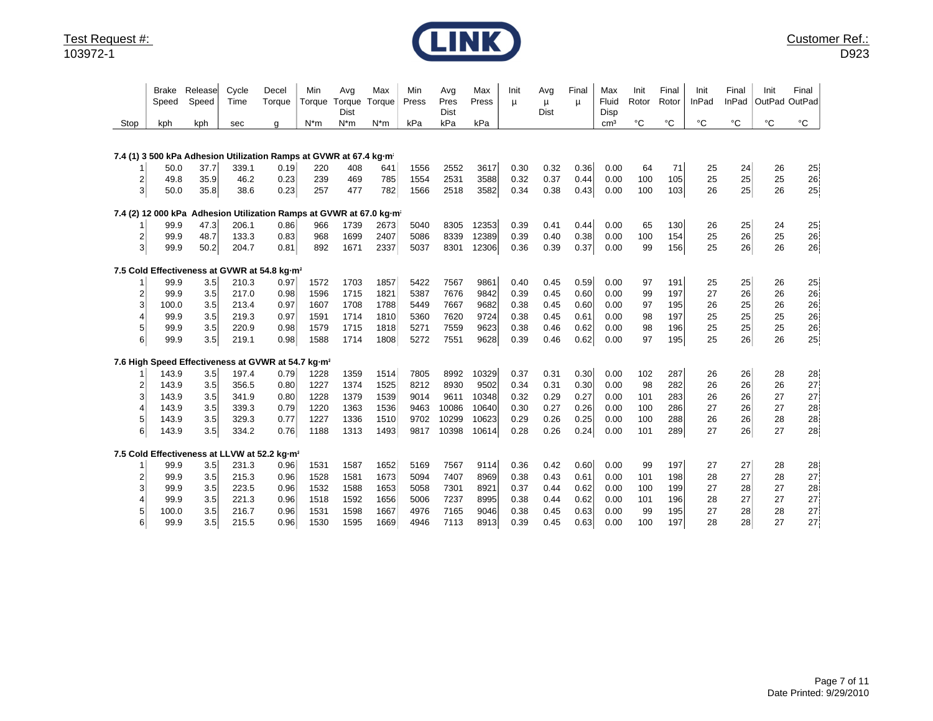

| Stop           | Brake<br>Speed<br>kph | Release<br>Speed<br>kph | Cycle<br>Time<br>sec                                                            | Decel<br>Torque<br>q | Min<br>Torque<br>$N*m$ | Avg<br>Torque<br>Dist<br>$N^*m$ | Max<br>Torque<br>$N^*m$ | Min<br>Press<br>kPa | Avg<br>Pres<br><b>Dist</b><br>kPa | Max<br>Press<br>kPa | Init<br>μ | Avg<br>μ<br>Dist | Final<br>μ | Max<br>Fluid<br>Disp<br>cm <sup>3</sup> | Init<br>Rotor<br>°C | Final<br>Rotor<br>$^{\circ}$ C | Init<br><b>InPad</b><br>$^{\circ}C$ | Final<br><b>InPad</b><br>$^{\circ}C$ | Init<br>OutPad OutPad<br>°C | Final<br>$^{\circ}$ C                       |
|----------------|-----------------------|-------------------------|---------------------------------------------------------------------------------|----------------------|------------------------|---------------------------------|-------------------------|---------------------|-----------------------------------|---------------------|-----------|------------------|------------|-----------------------------------------|---------------------|--------------------------------|-------------------------------------|--------------------------------------|-----------------------------|---------------------------------------------|
|                |                       |                         |                                                                                 |                      |                        |                                 |                         |                     |                                   |                     |           |                  |            |                                         |                     |                                |                                     |                                      |                             |                                             |
|                |                       |                         | 7.4 (1) 3 500 kPa Adhesion Utilization Ramps at GVWR at 67.4 kg m <sup>2</sup>  |                      |                        |                                 |                         |                     |                                   |                     |           |                  |            |                                         |                     |                                |                                     |                                      |                             |                                             |
|                | 50.0                  | 37.7                    | 339.1                                                                           | 0.19                 | 220                    | 408                             | 641                     | 1556                | 2552                              | 3617                | 0.30      | 0.32             | 0.36       | 0.00                                    | 64                  | 71                             | 25                                  | 24                                   | 26                          | $25\,$                                      |
| 2              | 49.8                  | 35.9                    | 46.2                                                                            | 0.23                 | 239                    | 469                             | 785                     | 1554                | 2531                              | 3588                | 0.32      | 0.37             | 0.44       | 0.00                                    | 100                 | 105                            | 25                                  | 25                                   | 25                          | $\begin{array}{c}\n 26 \\ 25\n \end{array}$ |
| $\mathbf{3}$   | 50.0                  | 35.8                    | 38.6                                                                            | 0.23                 | 257                    | 477                             | 782                     | 1566                | 2518                              | 3582                | 0.34      | 0.38             | 0.43       | 0.00                                    | 100                 | 103                            | 26                                  | 25                                   | 26                          |                                             |
|                |                       |                         | 7.4 (2) 12 000 kPa Adhesion Utilization Ramps at GVWR at 67.0 kg·m <sup>2</sup> |                      |                        |                                 |                         |                     |                                   |                     |           |                  |            |                                         |                     |                                |                                     |                                      |                             |                                             |
|                | 99.9                  | 47.3                    | 206.1                                                                           | 0.86                 | 966                    | 1739                            | 2673                    | 5040                | 8305                              | 12353               | 0.39      | 0.41             | 0.44       | 0.00                                    | 65                  | 130                            | 26                                  | 25                                   | 24                          | 25                                          |
| 2              | 99.9                  | 48.7                    | 133.3                                                                           | 0.83                 | 968                    | 1699                            | 2407                    | 5086                | 8339                              | 12389               | 0.39      | 0.40             | 0.38       | 0.00                                    | 100                 | 154                            | 25                                  | 26                                   | 25                          | 26                                          |
| $\mathbf{3}$   | 99.9                  | 50.2                    | 204.7                                                                           | 0.81                 | 892                    | 1671                            | 2337                    | 5037                | 8301                              | 12306               | 0.36      | 0.39             | 0.37       | 0.00                                    | 99                  | 156                            | 25                                  | 26                                   | 26                          | 26                                          |
|                |                       |                         | 7.5 Cold Effectiveness at GVWR at 54.8 kg-m2                                    |                      |                        |                                 |                         |                     |                                   |                     |           |                  |            |                                         |                     |                                |                                     |                                      |                             |                                             |
|                | 99.9                  | 3.5                     | 210.3                                                                           | 0.97                 | 1572                   | 1703                            | 1857                    | 5422                | 7567                              | 9861                | 0.40      | 0.45             | 0.59       | 0.00                                    | 97                  | 191                            | 25                                  | 25                                   | 26                          | 25 <sup>1</sup>                             |
| $\overline{2}$ | 99.9                  | 3.5                     | 217.0                                                                           | 0.98                 | 1596                   | 1715                            | 1821                    | 5387                | 7676                              | 9842                | 0.39      | 0.45             | 0.60       | 0.00                                    | 99                  | 197                            | 27                                  | 26                                   | 26                          | 26                                          |
| 3              | 100.0                 | 3.5                     | 213.4                                                                           | 0.97                 | 1607                   | 1708                            | 1788                    | 5449                | 7667                              | 9682                | 0.38      | 0.45             | 0.60       | 0.00                                    | 97                  | 195                            | 26                                  | 25                                   | 26                          | 26                                          |
| 4              | 99.9                  | 3.5                     | 219.3                                                                           | 0.97                 | 1591                   | 1714                            | 1810                    | 5360                | 7620                              | 9724                | 0.38      | 0.45             | 0.61       | 0.00                                    | 98                  | 197                            | 25                                  | 25                                   | 25                          | 26                                          |
| 5              | 99.9                  | 3.5                     | 220.9                                                                           | 0.98                 | 1579                   | 1715                            | 1818                    | 5271                | 7559                              | 9623                | 0.38      | 0.46             | 0.62       | 0.00                                    | 98                  | 196                            | 25                                  | 25                                   | 25                          | 26                                          |
| 6              | 99.9                  | 3.5                     | 219.1                                                                           | 0.98                 | 1588                   | 1714                            | 1808                    | 5272                | 7551                              | 9628                | 0.39      | 0.46             | 0.62       | 0.00                                    | 97                  | 195                            | 25                                  | 26                                   | 26                          | 25                                          |
|                |                       |                         | 7.6 High Speed Effectiveness at GVWR at 54.7 kg-m2                              |                      |                        |                                 |                         |                     |                                   |                     |           |                  |            |                                         |                     |                                |                                     |                                      |                             |                                             |
|                | 143.9                 | 3.5                     | 197.4                                                                           | 0.79                 | 1228                   | 1359                            | 1514                    | 7805                | 8992                              | 10329               | 0.37      | 0.31             | 0.30       | 0.00                                    | 102                 | 287                            | 26                                  | 26                                   | 28                          | 28                                          |
| 2              | 143.9                 | 3.5                     | 356.5                                                                           | 0.80                 | 1227                   | 1374                            | 1525                    | 8212                | 8930                              | 9502                | 0.34      | 0.31             | 0.30       | 0.00                                    | 98                  | 282                            | 26                                  | 26                                   | 26                          | 27                                          |
| 3              | 143.9                 | 3.5                     | 341.9                                                                           | 0.80                 | 1228                   | 1379                            | 1539                    | 9014                | 9611                              | 10348               | 0.32      | 0.29             | 0.27       | 0.00                                    | 101                 | 283                            | 26                                  | 26                                   | 27                          | $27\,$                                      |
| 4              | 143.9                 | 3.5                     | 339.3                                                                           | 0.79                 | 1220                   | 1363                            | 1536                    | 9463                | 10086                             | 10640               | 0.30      | 0.27             | 0.26       | 0.00                                    | 100                 | 286                            | 27                                  | 26                                   | 27                          | 28<br>28<br>28                              |
| 5              | 143.9                 | 3.5                     | 329.3                                                                           | 0.77                 | 1227                   | 1336                            | 1510                    | 9702                | 10299                             | 10623               | 0.29      | 0.26             | 0.25       | 0.00                                    | 100                 | 288                            | 26                                  | 26                                   | 28                          |                                             |
| 6              | 143.9                 | 3.5                     | 334.2                                                                           | 0.76                 | 1188                   | 1313                            | 1493                    | 9817                | 10398                             | 10614               | 0.28      | 0.26             | 0.24       | 0.00                                    | 101                 | 289                            | 27                                  | 26                                   | 27                          |                                             |
|                |                       |                         | 7.5 Cold Effectiveness at LLVW at 52.2 kg-m <sup>2</sup>                        |                      |                        |                                 |                         |                     |                                   |                     |           |                  |            |                                         |                     |                                |                                     |                                      |                             |                                             |
|                | 99.9                  | 3.5                     | 231.3                                                                           | 0.96                 | 1531                   | 1587                            | 1652                    | 5169                | 7567                              | 9114                | 0.36      | 0.42             | 0.60       | 0.00                                    | 99                  | 197                            | 27                                  | 27                                   | 28                          | 28                                          |
| 2              | 99.9                  | 3.5                     | 215.3                                                                           | 0.96                 | 1528                   | 1581                            | 1673                    | 5094                | 7407                              | 8969                | 0.38      | 0.43             | 0.61       | 0.00                                    | 101                 | 198                            | 28                                  | 27                                   | 28                          | 27                                          |
| 3              | 99.9                  | 3.5                     | 223.5                                                                           | 0.96                 | 1532                   | 1588                            | 1653                    | 5058                | 7301                              | 8921                | 0.37      | 0.44             | 0.62       | 0.00                                    | 100                 | 199                            | 27                                  | 28                                   | 27                          | 28                                          |
| 4              | 99.9                  | 3.5                     | 221.3                                                                           | 0.96                 | 1518                   | 1592                            | 1656                    | 5006                | 7237                              | 8995                | 0.38      | 0.44             | 0.62       | 0.00                                    | 101                 | 196                            | 28                                  | 27                                   | 27                          | 27                                          |
| 5              | 100.0                 | 3.5                     | 216.7                                                                           | 0.96                 | 1531                   | 1598                            | 1667                    | 4976                | 7165                              | 9046                | 0.38      | 0.45             | 0.63       | 0.00                                    | 99                  | 195                            | 27                                  | 28                                   | 28                          | 27                                          |
| 6              | 99.9                  | 3.5                     | 215.5                                                                           | 0.96                 | 1530                   | 1595                            | 1669                    | 4946                | 7113                              | 8913                | 0.39      | 0.45             | 0.63       | 0.00                                    | 100                 | 197                            | 28                                  | 28                                   | 27                          | 27                                          |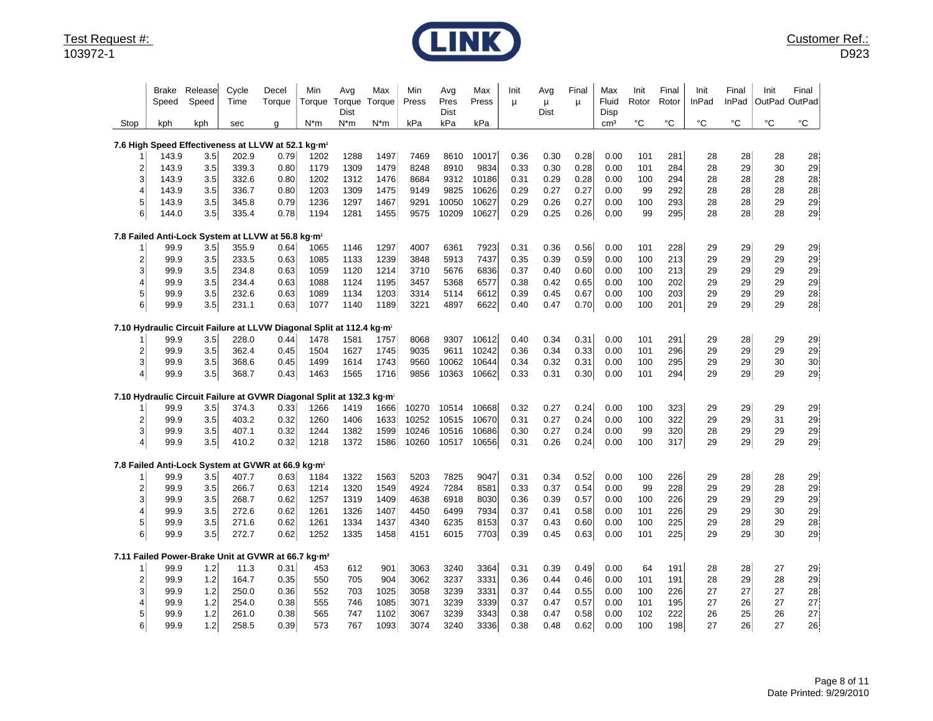

|                | Brake<br>Speed                                                       | Release<br>Speed | Cycle<br>Time | Decel<br>Torque | Min<br>Torque                             | Avg<br>Torque<br>Dist | Max<br>Torque | Min<br>Press | Avg<br>Pres<br>Dist | Max<br>Press | Init<br>μ | Avg<br>μ<br><b>Dist</b> | Final<br>μ | Max<br>Fluid<br>Disp | Init<br>Rotor | Final<br>Rotor | Init<br>InPad | Final<br>InPad | Init<br>OutPad | Final<br>OutPad   |
|----------------|----------------------------------------------------------------------|------------------|---------------|-----------------|-------------------------------------------|-----------------------|---------------|--------------|---------------------|--------------|-----------|-------------------------|------------|----------------------|---------------|----------------|---------------|----------------|----------------|-------------------|
| Stop           | kph                                                                  | kph              | sec           | q               | N*m                                       | $N^*m$                | N*m           | kPa          | kPa                 | kPa          |           |                         |            | cm <sup>3</sup>      | °C            | °C             | $^{\circ}C$   | °C             | °C             | $^{\circ}{\rm C}$ |
|                | 7.6 High Speed Effectiveness at LLVW at 52.1 kg-m <sup>2</sup>       |                  |               |                 |                                           |                       |               |              |                     |              |           |                         |            |                      |               |                |               |                |                |                   |
|                | 143.9                                                                | 3.5              | 202.9         | 0.79            | 1202                                      | 1288                  | 1497          | 7469         | 8610                | 10017        | 0.36      | 0.30                    | 0.28       | 0.00                 | 101           | 281            | 28            | 28             | 28             | 28                |
| 2              | 143.9                                                                | 3.5              | 339.3         | 0.80            | 1179                                      | 1309                  | 1479          | 8248         | 8910                | 9834         | 0.33      | 0.30                    | 0.28       | 0.00                 | 101           | 284            | 28            | 29             | 30             | 29                |
| 3              | 143.9                                                                | 3.5              | 332.6         | 0.80            | 1202                                      | 1312                  | 1476          | 8684         | 9312                | 10186        | 0.31      | 0.29                    | 0.28       | 0.00                 | 100           | 294            | 28            | 28             | 28             | 28                |
| 4              | 143.9                                                                | 3.5              | 336.7         | 0.80            | 1203                                      | 1309                  | 1475          | 9149         | 9825                | 10626        | 0.29      | 0.27                    | 0.27       | 0.00                 | 99            | 292            | 28            | 28             | 28             | 28                |
| 5              | 143.9                                                                | 3.5              | 345.8         | 0.79            | 1236                                      | 1297                  | 1467          | 9291         | 10050               | 10627        | 0.29      | 0.26                    | 0.27       | 0.00                 | 100           | 293            | 28            | 28             | 29             | ${\bf 29}$        |
| 6              | 144.0                                                                | 3.5              | 335.4         | 0.78            | 1194                                      | 1281                  | 1455          | 9575         | 10209               | 10627        | 0.29      | 0.25                    | 0.26       | 0.00                 | 99            | 295            | 28            | 28             | 28             | 29                |
|                | 7.8 Failed Anti-Lock System at LLVW at 56.8 kg m <sup>2</sup>        |                  |               |                 |                                           |                       |               |              |                     |              |           |                         |            |                      |               |                |               |                |                |                   |
|                | 99.9                                                                 | 3.5              | 355.9         | 0.64            | 1065                                      | 1146                  | 1297          | 4007         | 6361                | 7923         | 0.31      | 0.36                    | 0.56       | 0.00                 | 101           | 228            | 29            | 29             | 29             | 29                |
| 2              | 99.9                                                                 | 3.5              | 233.5         | 0.63            | 1085                                      | 1133                  | 1239          | 3848         | 5913                | 7437         | 0.35      | 0.39                    | 0.59       | 0.00                 | 100           | 213            | 29            | 29             | 29             | 29                |
| 3              | 99.9                                                                 | 3.5              | 234.8         | 0.63            | 1059                                      | 1120                  | 1214          | 3710         | 5676                | 6836         | 0.37      | 0.40                    | 0.60       | 0.00                 | 100           | 213            | 29            | 29             | 29             | 29                |
| 4              | 99.9                                                                 | 3.5              | 234.4         | 0.63            | 1088                                      | 1124                  | 1195          | 3457         | 5368                | 6577         | 0.38      | 0.42                    | 0.65       | 0.00                 | 100           | 202            | 29            | 29             | 29             | 29                |
| 5              | 99.9                                                                 | 3.5              | 232.6         | 0.63            | 1089                                      | 1134                  | 1203          | 3314         | 5114                | 6612         | 0.39      | 0.45                    | 0.67       | 0.00                 | 100           | 203            | 29            | 29             | 29             | 28                |
| 6              | 99.9                                                                 | 3.5              | 231.1         | 0.63            | 1077                                      | 1140                  | 1189          | 3221         | 4897                | 6622         | 0.40      | 0.47                    | 0.70       | 0.00                 | 100           | 201            | 29            | 29             | 29             | 28                |
|                | 7.10 Hydraulic Circuit Failure at LLVW                               |                  |               |                 | Diagonal Split at 112.4 kg-m <sup>2</sup> |                       |               |              |                     |              |           |                         |            |                      |               |                |               |                |                |                   |
|                | 99.9                                                                 | 3.5              | 228.0         | 0.44            | 1478                                      | 1581                  | 1757          | 8068         | 9307                | 10612        | 0.40      | 0.34                    | 0.31       | 0.00                 | 101           | 291            | 29            | 28             | 29             | 29                |
| 2              | 99.9                                                                 | 3.5              | 362.4         | 0.45            | 1504                                      | 1627                  | 1745          | 9035         | 9611                | 10242        | 0.36      | 0.34                    | 0.33       | 0.00                 | 101           | 296            | 29            | 29             | 29             | 29                |
| 3              | 99.9                                                                 | 3.5              | 368.6         | 0.45            | 1499                                      | 1614                  | 1743          | 9560         | 10062               | 10644        | 0.34      | 0.32                    | 0.31       | 0.00                 | 100           | 295            | 29            | 29             | 30             | 30                |
| $\overline{4}$ | 99.9                                                                 | 3.5              | 368.7         | 0.43            | 1463                                      | 1565                  | 1716          | 9856         | 10363               | 10662        | 0.33      | 0.31                    | 0.30       | 0.00                 | 101           | 294            | 29            | 29             | 29             | 29                |
|                | 7.10 Hydraulic Circuit Failure at GVWR Diagonal Split at 132.3 kg·m- |                  |               |                 |                                           |                       |               |              |                     |              |           |                         |            |                      |               |                |               |                |                |                   |
|                | 99.9                                                                 | 3.5              | 374.3         | 0.33            | 1266                                      | 1419                  | 1666          | 10270        | 10514               | 10668        | 0.32      | 0.27                    | 0.24       | 0.00                 | 100           | 323            | 29            | 29             | 29             | 29                |
| $\overline{2}$ | 99.9                                                                 | 3.5              | 403.2         | 0.32            | 1260                                      | 1406                  | 1633          | 10252        | 10515               | 10670        | 0.31      | 0.27                    | 0.24       | 0.00                 | 100           | 322            | 29            | 29             | 31             | 29                |
| 3              | 99.9                                                                 | 3.5              | 407.1         | 0.32            | 1244                                      | 1382                  | 1599          | 10246        | 10516               | 10686        | 0.30      | 0.27                    | 0.24       | 0.00                 | 99            | 320            | 28            | 29             | 29             | 29                |
| 4              | 99.9                                                                 | 3.5              | 410.2         | 0.32            | 1218                                      | 1372                  | 1586          | 10260        | 10517               | 10656        | 0.31      | 0.26                    | 0.24       | 0.00                 | 100           | 317            | 29            | 29             | 29             | 29                |
|                | 7.8 Failed Anti-Lock System at GVWR                                  |                  |               |                 | at 66.9 kg-m <sup>2</sup>                 |                       |               |              |                     |              |           |                         |            |                      |               |                |               |                |                |                   |
|                | 99.9                                                                 | 3.5              | 407.7         | 0.63            | 1184                                      | 1322                  | 1563          | 5203         | 7825                | 9047         | 0.31      | 0.34                    | 0.52       | 0.00                 | 100           | 226            | 29            | 28             | 28             | 29                |
| 2              | 99.9                                                                 | 3.5              | 266.7         | 0.63            | 1214                                      | 1320                  | 1549          | 4924         | 7284                | 8581         | 0.33      | 0.37                    | 0.54       | 0.00                 | 99            | 228            | 29            | 29             | 28             | 29                |
| 3              | 99.9                                                                 | 3.5              | 268.7         | 0.62            | 1257                                      | 1319                  | 1409          | 4638         | 6918                | 8030         | 0.36      | 0.39                    | 0.57       | 0.00                 | 100           | 226            | 29            | 29             | 29             | 29                |
| 4              | 99.9                                                                 | 3.5              | 272.6         | 0.62            | 1261                                      | 1326                  | 1407          | 4450         | 6499                | 7934         | 0.37      | 0.41                    | 0.58       | 0.00                 | 101           | 226            | 29            | 29             | 30             | 29                |
| 5              | 99.9                                                                 | 3.5              | 271.6         | 0.62            | 1261                                      | 1334                  | 1437          | 4340         | 6235                | 8153         | 0.37      | 0.43                    | 0.60       | 0.00                 | 100           | 225            | 29            | 28             | 29             | 28                |
| 6              | 99.9                                                                 | 3.5              | 272.7         | 0.62            | 1252                                      | 1335                  | 1458          | 4151         | 6015                | 7703         | 0.39      | 0.45                    | 0.63       | 0.00                 | 101           | 225            | 29            | 29             | 30             | 29                |
|                | 7.11 Failed Power-Brake Unit at GVWR at 66.7 kg-m <sup>2</sup>       |                  |               |                 |                                           |                       |               |              |                     |              |           |                         |            |                      |               |                |               |                |                |                   |
|                | 99.9                                                                 | 1.2              | 11.3          | 0.31            | 453                                       | 612                   | 901           | 3063         | 3240                | 3364         | 0.31      | 0.39                    | 0.49       | 0.00                 | 64            | 191            | 28            | 28             | 27             | 29                |
| 2              | 99.9                                                                 | 1.2              | 164.7         | 0.35            | 550                                       | 705                   | 904           | 3062         | 3237                | 3331         | 0.36      | 0.44                    | 0.46       | 0.00                 | 101           | 191            | 28            | 29             | 28             | 29                |
| 3              | 99.9                                                                 | 1.2              | 250.0         | 0.36            | 552                                       | 703                   | 1025          | 3058         | 3239                | 3331         | 0.37      | 0.44                    | 0.55       | 0.00                 | 100           | 226            | 27            | 27             | 27             | 28                |
|                | 99.9                                                                 | 1.2              | 254.0         | 0.38            | 555                                       | 746                   | 1085          | 3071         | 3239                | 3339         | 0.37      | 0.47                    | 0.57       | 0.00                 | 101           | 195            | 27            | 26             | 27             | 27                |
| 5              | 99.9                                                                 | 1.2              | 261.0         | 0.38            | 565                                       | 747                   | 1102          | 3067         | 3239                | 3343         | 0.38      | 0.47                    | 0.58       | 0.00                 | 102           | 222            | 26            | 25             | 26             | 27                |
| 6              | 99.9                                                                 | 1.2              | 258.5         | 0.39            | 573                                       | 767                   | 1093          | 3074         | 3240                | 3336         | 0.38      | 0.48                    | 0.62       | 0.00                 | 100           | 198            | 27            | 26             | 27             | 26                |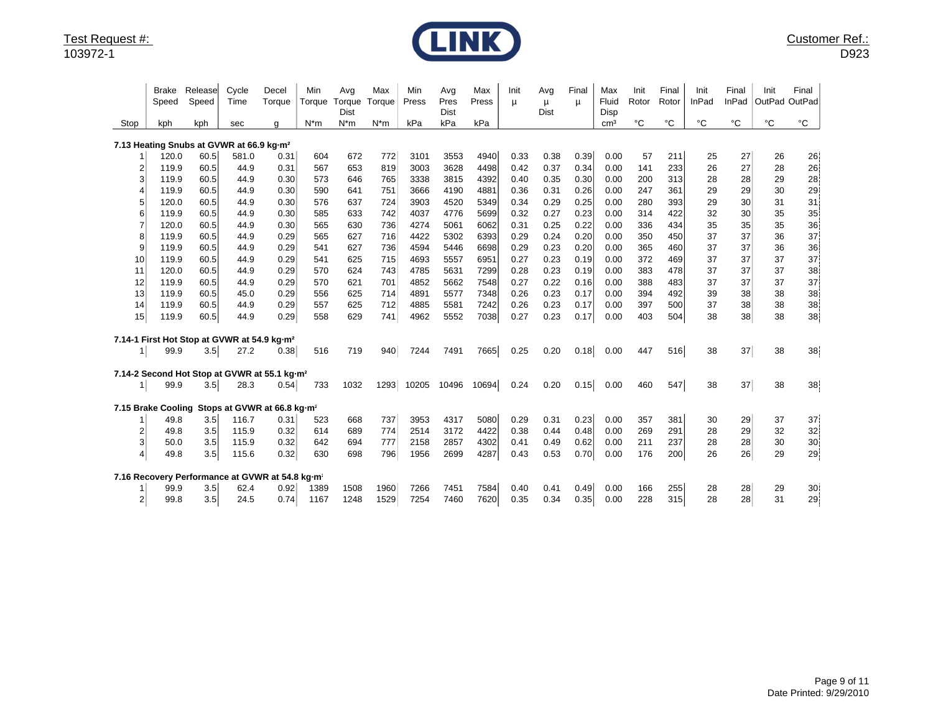

| Stop           | Brake<br>Speed<br>kph | Release<br>Speed<br>kph | Cycle<br>Time<br>sec                                    | Decel<br>Torque<br>g                                        | Min<br>Torque<br>$N*m$ | Avg<br>Torque<br>Dist<br>$N^*m$ | Max<br>Torque<br>$N^*m$ | Min<br>Press<br>kPa | Avg<br>Pres<br><b>Dist</b><br>kPa | Max<br>Press<br>kPa | Init<br>μ | Avg<br>$\mu$<br>Dist | Final<br>п | Max<br>Fluid<br>Disp<br>cm <sup>3</sup> | Init<br>Rotor<br>°C | Final<br>Rotor<br>°C | Init<br><b>InPad</b><br>$^{\circ}C$ | Final<br>InPad<br>$^{\circ}C$ | Init<br>OutPad<br>°C | Final<br>OutPad<br>°C |
|----------------|-----------------------|-------------------------|---------------------------------------------------------|-------------------------------------------------------------|------------------------|---------------------------------|-------------------------|---------------------|-----------------------------------|---------------------|-----------|----------------------|------------|-----------------------------------------|---------------------|----------------------|-------------------------------------|-------------------------------|----------------------|-----------------------|
|                |                       |                         | 7.13 Heating Snubs at GVWR at 66.9 kg·m <sup>2</sup>    |                                                             |                        |                                 |                         |                     |                                   |                     |           |                      |            |                                         |                     |                      |                                     |                               |                      |                       |
|                | 120.0                 | 60.5                    | 581.0                                                   | 0.31                                                        | 604                    | 672                             | 772                     | 3101                | 3553                              | 4940                | 0.33      | 0.38                 | 0.39       | 0.00                                    | 57                  | 211                  | 25                                  | 27                            | 26                   | 26                    |
| 2              | 119.9                 | 60.5                    | 44.9                                                    | 0.31                                                        | 567                    | 653                             | 819                     | 3003                | 3628                              | 4498                | 0.42      | 0.37                 | 0.34       | 0.00                                    | 141                 | 233                  | 26                                  | 27                            | 28                   | 26                    |
| 3              | 119.9                 | 60.5                    | 44.9                                                    | 0.30                                                        | 573                    | 646                             | 765                     | 3338                | 3815                              | 4392                | 0.40      | 0.35                 | 0.30       | 0.00                                    | 200                 | 313                  | 28                                  | 28                            | 29                   | 28                    |
| 4              | 119.9                 | 60.5                    | 44.9                                                    | 0.30                                                        | 590                    | 641                             | 751                     | 3666                | 4190                              | 4881                | 0.36      | 0.31                 | 0.26       | 0.00                                    | 247                 | 361                  | 29                                  | 29                            | 30                   | 29                    |
|                | 120.0                 | 60.5                    | 44.9                                                    | 0.30                                                        | 576                    | 637                             | 724                     | 3903                | 4520                              | 5349                | 0.34      | 0.29                 | 0.25       | 0.00                                    | 280                 | 393                  | 29                                  | 30                            | 31                   | 31                    |
| 6              | 119.9                 | 60.5                    | 44.9                                                    | 0.30                                                        | 585                    | 633                             | 742                     | 4037                | 4776                              | 5699                | 0.32      | 0.27                 | 0.23       | 0.00                                    | 314                 | 422                  | 32                                  | 30                            | 35                   | 35                    |
| 7              | 120.0                 | 60.5                    | 44.9                                                    | 0.30                                                        | 565                    | 630                             | 736                     | 4274                | 5061                              | 6062                | 0.31      | 0.25                 | 0.22       | 0.00                                    | 336                 | 434                  | 35                                  | 35                            | 35                   | 36                    |
| 8              | 119.9                 | 60.5                    | 44.9                                                    | 0.29                                                        | 565                    | 627                             | 716                     | 4422                | 5302                              | 6393                | 0.29      | 0.24                 | 0.20       | 0.00                                    | 350                 | 450                  | 37                                  | 37                            | 36                   | 37                    |
| 9              | 119.9                 | 60.5                    | 44.9                                                    | 0.29                                                        | 541                    | 627                             | 736                     | 4594                | 5446                              | 6698                | 0.29      | 0.23                 | 0.20       | 0.00                                    | 365                 | 460                  | 37                                  | 37                            | 36                   | 36                    |
| 10             | 119.9                 | 60.5                    | 44.9                                                    | 0.29                                                        | 541                    | 625                             | 715                     | 4693                | 5557                              | 6951                | 0.27      | 0.23                 | 0.19       | 0.00                                    | 372                 | 469                  | 37                                  | 37                            | 37                   | 37                    |
| 11             | 120.0                 | 60.5                    | 44.9                                                    | 0.29                                                        | 570                    | 624                             | 743                     | 4785                | 5631                              | 7299                | 0.28      | 0.23                 | 0.19       | 0.00                                    | 383                 | 478                  | 37                                  | 37                            | 37                   | 38                    |
| 12             | 119.9                 | 60.5                    | 44.9                                                    | 0.29                                                        | 570                    | 621                             | 701                     | 4852                | 5662                              | 7548                | 0.27      | 0.22                 | 0.16       | 0.00                                    | 388                 | 483                  | 37                                  | 37                            | 37                   | 37                    |
| 13             | 119.9                 | 60.5                    | 45.0                                                    | 0.29                                                        | 556                    | 625                             | 714                     | 4891                | 5577                              | 7348                | 0.26      | 0.23                 | 0.17       | 0.00                                    | 394                 | 492                  | 39                                  | 38                            | 38                   | 38                    |
| 14             | 119.9                 | 60.5                    | 44.9                                                    | 0.29                                                        | 557                    | 625                             | 712                     | 4885                | 5581                              | 7242                | 0.26      | 0.23                 | 0.17       | 0.00                                    | 397                 | 500                  | 37<br>38                            | 38<br>38                      | 38<br>38             | 38                    |
| 15             | 119.9                 | 60.5                    | 44.9                                                    | 0.29                                                        | 558                    | 629                             | 741                     | 4962                | 5552                              | 7038                | 0.27      | 0.23                 | 0.17       | 0.00                                    | 403                 | 504                  |                                     |                               |                      | 38                    |
|                |                       |                         | 7.14-1 First Hot Stop at GVWR at 54.9 kg-m <sup>2</sup> |                                                             |                        |                                 |                         |                     |                                   |                     |           |                      |            |                                         |                     |                      |                                     |                               |                      |                       |
| 1 <sub>1</sub> | 99.9                  | 3.5                     | 27.2                                                    | 0.38                                                        | 516                    | 719                             | 940                     | 7244                | 7491                              | 7665                | 0.25      | 0.20                 | 0.18       | 0.00                                    | 447                 | 516                  | 38                                  | 37                            | 38                   | 38                    |
|                |                       |                         |                                                         | 7.14-2 Second Hot Stop at GVWR at 55.1 kg-m <sup>2</sup>    |                        |                                 |                         |                     |                                   |                     |           |                      |            |                                         |                     |                      |                                     |                               |                      |                       |
| 11             | 99.9                  | 3.5                     | 28.3                                                    | 0.54                                                        | 733                    | 1032                            | 1293                    | 10205               | 10496                             | 10694               | 0.24      | 0.20                 | 0.15       | 0.00                                    | 460                 | 547                  | 38                                  | 37                            | 38                   | 38                    |
|                | 7.15 Brake Cooling    |                         |                                                         | Stops at GVWR at 66.8 kg-m <sup>2</sup>                     |                        |                                 |                         |                     |                                   |                     |           |                      |            |                                         |                     |                      |                                     |                               |                      |                       |
|                | 49.8                  | 3.5                     | 116.7                                                   | 0.31                                                        | 523                    | 668                             | 737                     | 3953                | 4317                              | 5080                | 0.29      | 0.31                 | 0.23       | 0.00                                    | 357                 | 381                  | 30                                  | 29                            | 37                   | $37\,$                |
| $\overline{2}$ | 49.8                  | 3.5                     | 115.9                                                   | 0.32                                                        | 614                    | 689                             | 774                     | 2514                | 3172                              | 4422                | 0.38      | 0.44                 | 0.48       | 0.00                                    | 269                 | 291                  | 28                                  | 29                            | 32                   | 32                    |
| 3              | 50.0                  | 3.5                     | 115.9                                                   | 0.32                                                        | 642                    | 694                             | 777                     | 2158                | 2857                              | 4302                | 0.41      | 0.49                 | 0.62       | 0.00                                    | 211                 | 237                  | 28                                  | 28                            | 30                   | $30\,$                |
| 4              | 49.8                  | 3.5                     | 115.6                                                   | 0.32                                                        | 630                    | 698                             | 796                     | 1956                | 2699                              | 4287                | 0.43      | 0.53                 | 0.70       | 0.00                                    | 176                 | 200                  | 26                                  | 26                            | 29                   | 29                    |
|                |                       |                         |                                                         | 7.16 Recovery Performance at GVWR at 54.8 kg-m <sup>2</sup> |                        |                                 |                         |                     |                                   |                     |           |                      |            |                                         |                     |                      |                                     |                               |                      |                       |
|                | 99.9                  | 3.5                     | 62.4                                                    | 0.92                                                        | 1389                   | 1508                            | 1960                    | 7266                | 7451                              | 7584                | 0.40      | 0.41                 | 0.49       | 0.00                                    | 166                 | 255                  | 28                                  | 28                            | 29                   | 30                    |
| $\mathbf{2}$   | 99.8                  | 3.5                     | 24.5                                                    | 0.74                                                        | 1167                   | 1248                            | 1529                    | 7254                | 7460                              | 7620                | 0.35      | 0.34                 | 0.35       | 0.00                                    | 228                 | 315                  | 28                                  | 28                            | 31                   | 29                    |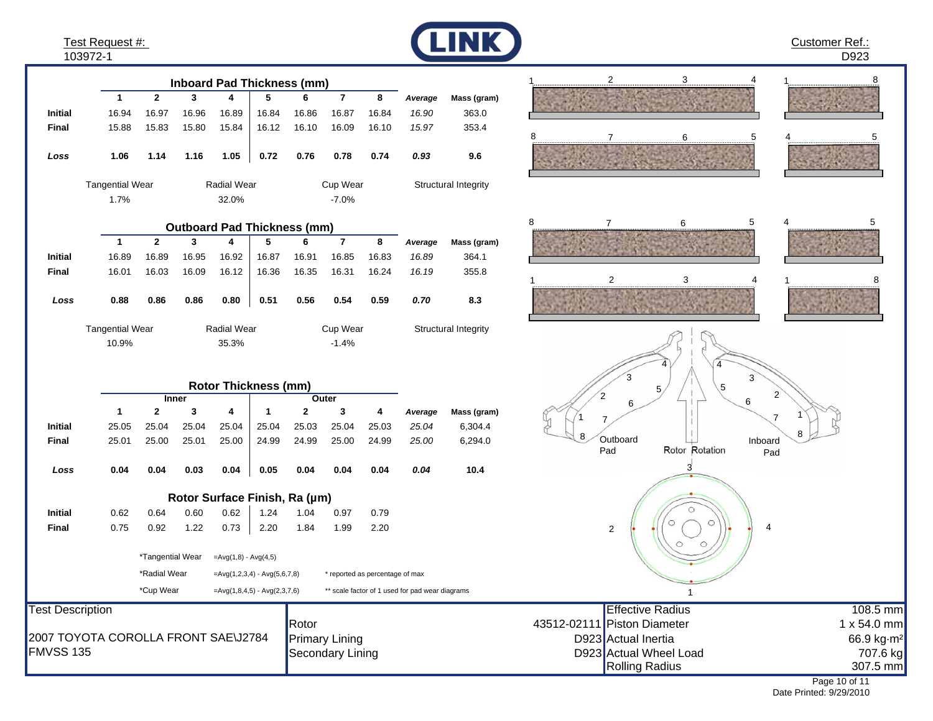Test Request #: 103972-1

**Initial**

**InitialFinal**

*Loss*

**Final**

*Loss*

10.9%Tangential Wear

1.7%

**Initial**

**Final**

*Loss*

**Initial**

**Final**

**12345678**

**Inboard Pad Thickness (mm)**

16.94 16.97 16.96 16.89 16.84 16.86 16.87 16.84

15.88 15.83 15.80 15.84 16.12 16.10 16.09 16.10

**1.06 1.14 1.16 1.05 0.72 0.76 0.78 0.74**

**12345678**

**Outboard Pad Thickness (mm)**

32.0% -7.0%

**0.88 0.86 0.86 0.80 0.51 0.56 0.54 0.59**

**12341234**

**Rotor Thickness (mm)**

**Inner Outer**

**0.04 0.04 0.03 0.04 0.05 0.04 0.04 0.04**

**Rotor Surface Finish, Ra (µm)**

25.05 25.04 25.04 25.04 25.04 25.03 25.04 25.03

25.01 25.00 25.01 25.00 24.99 24.99 25.00 24.99

0.62 0.64 0.60 0.62 1.24 1.04 0.97 0.79

0.75 0.92 1.22 0.73 2.20 1.84 1.99 2.20

\*Tangential Wear = $Avg(1,8) - Avg(4,5)$ 

16.89 16.89 16.95 16.92 16.87 16.91 16.85 16.83

Tangential Wear **Radial Wear** Cup Wear

16.01 16.03 16.09 16.12 16.36 16.35 16.31 16.24

35.3%Radial Wear



*Average* **Mass (gram)**

*16.90* 363.0

*15.97* 353.4

*0.93* **9.6**

*Average* **Mass (gram)**

Structural Integrity

Structural Integrity

*16.89* 364.1

*16.19* 355.8

*0.70* **8.3**

*Average* **Mass (gram)**

*25.04* 6,304.4

*25.00* 6,294.0

*0.04* **10.4**

0.79

-1.4%Cup Wear











| *Radial Wear<br>$=Avg(1,2,3,4) - Avg(5,6,7,8)$     | * reported as percentage of max                 |                             |                             |
|----------------------------------------------------|-------------------------------------------------|-----------------------------|-----------------------------|
| *Cup Wear<br>$=$ Avg $(1,8,4,5)$ - Avg $(2,3,7,6)$ | ** scale factor of 1 used for pad wear diagrams |                             |                             |
| <b>Test Description</b>                            |                                                 | Effective Radius            | 108.5 mm                    |
|                                                    | Rotor                                           | 43512-02111 Piston Diameter | 1 x 54.0 mm                 |
| 2007 TOYOTA COROLLA FRONT SAE\J2784                | <b>Primary Lining</b>                           | D923 Actual Inertia         | 66.9 kg m <sup>2</sup>      |
| <b>FMVSS 135</b>                                   | Secondary Lining                                | D923 Actual Wheel Load      | 707.6 kg                    |
|                                                    |                                                 | Rolling Radius              | 307.5 mm                    |
|                                                    |                                                 |                             | $\sim$ $\sim$ $\sim$ $\sim$ |